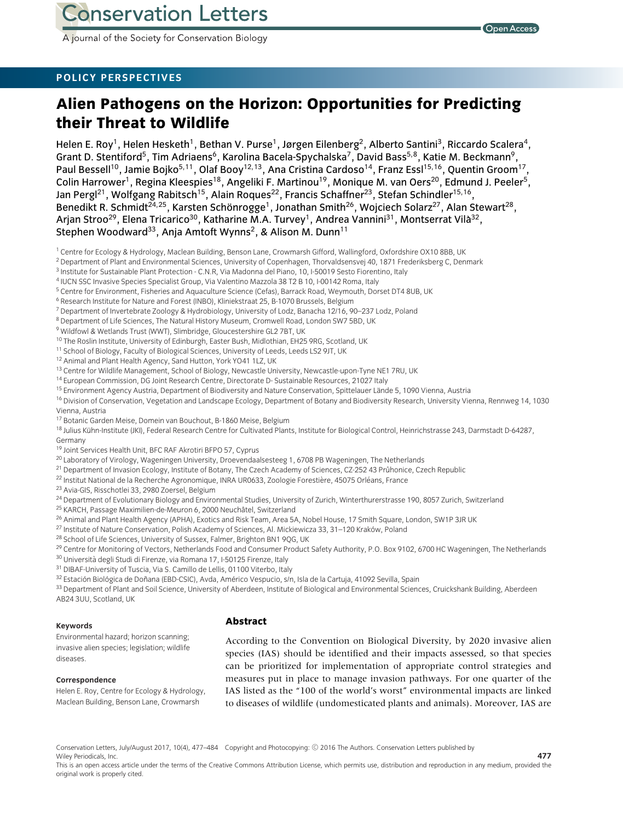A journal of the Society for Conservation Biology

## **POLICY PERSPECTIVES**

# **Alien Pathogens on the Horizon: Opportunities for Predicting their Threat to Wildlife**

Helen E. Roy<sup>1</sup>, Helen Hesketh<sup>1</sup>, Bethan V. Purse<sup>1</sup>, Jørgen Eilenberg<sup>2</sup>, Alberto Santini<sup>3</sup>, Riccardo Scalera<sup>4</sup>, Grant D. Stentiford<sup>5</sup>, Tim Adriaens<sup>6</sup>, Karolina Bacela-Spychalska<sup>7</sup>, David Bass<sup>5,8</sup>, Katie M. Beckmann<sup>9</sup>, Paul Bessell<sup>10</sup>, Jamie Bojko<sup>5,11</sup>, Olaf Booy<sup>12,13</sup>, Ana Cristina Cardoso<sup>14</sup>, Franz Essl<sup>15,16</sup>, Quentin Groom<sup>17</sup>, Colin Harrower<sup>1</sup>, Regina Kleespies<sup>18</sup>, Angeliki F. Martinou<sup>19</sup>, Monique M. van Oers<sup>20</sup>, Edmund J. Peeler<sup>5</sup>, Jan Pergl<sup>21</sup>, Wolfgang Rabitsch<sup>15</sup>, Alain Roques<sup>22</sup>, Francis Schaffner<sup>23</sup>, Stefan Schindler<sup>15,16</sup>, Benedikt R. Schmidt<sup>24,25</sup>, Karsten Schönrogge<sup>1</sup>, Jonathan Smith<sup>26</sup>, Wojciech Solarz<sup>27</sup>, Alan Stewart<sup>28</sup>, Arjan Stroo<sup>29</sup>, Elena Tricarico<sup>30</sup>, Katharine M.A. Turvey<sup>1</sup>, Andrea Vannini<sup>31</sup>, Montserrat Vilà<sup>32</sup>, Stephen Woodward<sup>33</sup>, Anja Amtoft Wynns<sup>2</sup>, & Alison M. Dunn<sup>11</sup>

- <sup>2</sup> Department of Plant and Environmental Sciences, University of Copenhagen, Thorvaldsensvej 40, 1871 Frederiksberg C, Denmark
- <sup>3</sup> Institute for Sustainable Plant Protection C.N.R, Via Madonna del Piano, 10, I-50019 Sesto Fiorentino, Italy
- <sup>4</sup> IUCN SSC Invasive Species Specialist Group, Via Valentino Mazzola 38 T2 B 10, I-00142 Roma, Italy
- <sup>5</sup> Centre for Environment, Fisheries and Aquaculture Science (Cefas), Barrack Road, Weymouth, Dorset DT4 8UB, UK
- <sup>6</sup> Research Institute for Nature and Forest (INBO), Kliniekstraat 25, B-1070 Brussels, Belgium
- <sup>7</sup> Department of Invertebrate Zoology & Hydrobiology, University of Lodz, Banacha 12/16, 90–237 Lodz, Poland
- <sup>8</sup> Department of Life Sciences, The Natural History Museum, Cromwell Road, London SW7 5BD, UK
- <sup>9</sup> Wildfowl & Wetlands Trust (WWT), Slimbridge, Gloucestershire GL2 7BT, UK
- <sup>10</sup> The Roslin Institute, University of Edinburgh, Easter Bush, Midlothian, EH25 9RG, Scotland, UK
- <sup>11</sup> School of Biology, Faculty of Biological Sciences, University of Leeds, Leeds LS2 9JT, UK
- <sup>12</sup> Animal and Plant Health Agency, Sand Hutton, York YO41 1LZ, UK
- <sup>13</sup> Centre for Wildlife Management, School of Biology, Newcastle University, Newcastle-upon-Tyne NE1 7RU, UK
- 14 European Commission, DG Joint Research Centre, Directorate D- Sustainable Resources, 21027 Italy
- <sup>15</sup> Environment Agency Austria, Department of Biodiversity and Nature Conservation, Spittelauer Lände 5, 1090 Vienna, Austria
- <sup>16</sup> Division of Conservation, Vegetation and Landscape Ecology, Department of Botany and Biodiversity Research, University Vienna, Rennweg 14, 1030 Vienna, Austria
- <sup>17</sup> Botanic Garden Meise, Domein van Bouchout, B-1860 Meise, Belgium

<sup>18</sup> Julius Kühn-Institute (JKI), Federal Research Centre for Cultivated Plants, Institute for Biological Control, Heinrichstrasse 243, Darmstadt D-64287, Germany

- <sup>19</sup> Joint Services Health Unit, BFC RAF Akrotiri BFPO 57, Cyprus
- <sup>20</sup> Laboratory of Virology, Wageningen University, Droevendaalsesteeg 1, 6708 PB Wageningen, The Netherlands
- <sup>21</sup> Department of Invasion Ecology, Institute of Botany, The Czech Academy of Sciences, CZ-252 43 Průhonice, Czech Republic
- $^{22}$  Institut National de la Recherche Agronomique, INRA UR0633, Zoologie Forestière, 45075 Orléans, France
- <sup>23</sup> Avia-GIS, Risschotlei 33, 2980 Zoersel, Belgium
- <sup>24</sup> Department of Evolutionary Biology and Environmental Studies, University of Zurich, Winterthurerstrasse 190, 8057 Zurich, Switzerland
- <sup>25</sup> KARCH, Passage Maximilien-de-Meuron 6, 2000 Neuchâtel, Switzerland
- <sup>26</sup> Animal and Plant Health Agency (APHA), Exotics and Risk Team, Area 5A, Nobel House, 17 Smith Square, London, SW1P 3JR UK
- <sup>27</sup> Institute of Nature Conservation, Polish Academy of Sciences, Al. Mickiewicza 33, 31-120 Kraków, Poland
- <sup>28</sup> School of Life Sciences, University of Sussex, Falmer, Brighton BN1 9QG, UK
- <sup>29</sup> Centre for Monitoring of Vectors, Netherlands Food and Consumer Product Safety Authority, P.O. Box 9102, 6700 HC Wageningen, The Netherlands
- <sup>30</sup> Università degli Studi di Firenze, via Romana 17, I-50125 Firenze, Italy
- <sup>31</sup> DIBAF-University of Tuscia, Via S. Camillo de Lellis, 01100 Viterbo, Italy
- 32 Estación Biológica de Doñana (EBD-CSIC), Avda, Américo Vespucio, s/n, Isla de la Cartuja, 41092 Sevilla, Spain

33 Department of Plant and Soil Science, University of Aberdeen, Institute of Biological and Environmental Sciences, Cruickshank Building, Aberdeen AB24 3UU, Scotland, UK

#### **Keywords**

## **Abstract**

Environmental hazard; horizon scanning; invasive alien species; legislation; wildlife diseases.

#### **Correspondence**

Helen E. Roy, Centre for Ecology & Hydrology, Maclean Building, Benson Lane, Crowmarsh

According to the Convention on Biological Diversity, by 2020 invasive alien species (IAS) should be identified and their impacts assessed, so that species can be prioritized for implementation of appropriate control strategies and measures put in place to manage invasion pathways. For one quarter of the IAS listed as the "100 of the world's worst" environmental impacts are linked to diseases of wildlife (undomesticated plants and animals). Moreover, IAS are

This is an open access article under the terms of the [Creative Commons Attribution](http://creativecommons.org/licenses/by/4.0/) License, which permits use, distribution and reproduction in any medium, provided the original work is properly cited.

<sup>1</sup> Centre for Ecology & Hydrology, Maclean Building, Benson Lane, Crowmarsh Gifford, Wallingford, Oxfordshire OX10 8BB, UK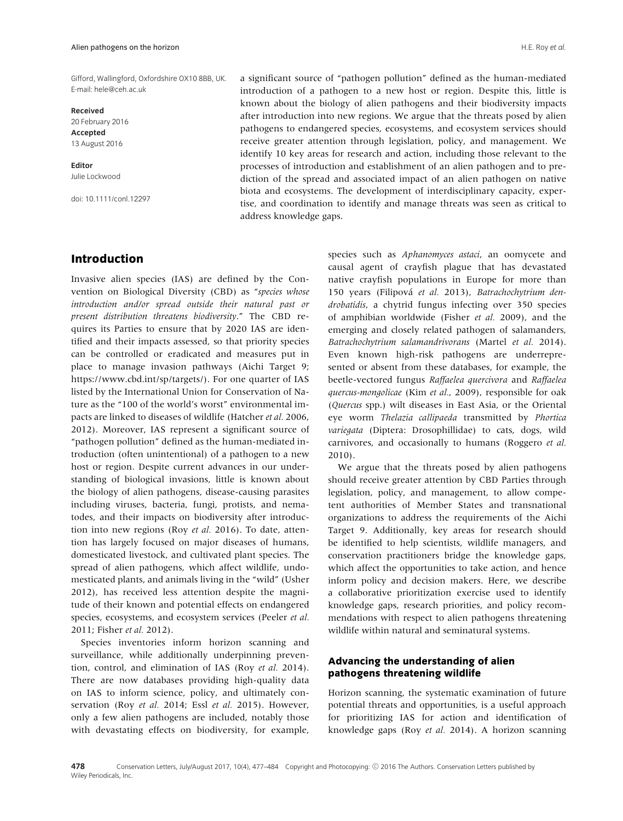Gifford, Wallingford, Oxfordshire OX10 8BB, UK. E-mail: hele@ceh.ac.uk

#### **Received** 20 February 2016 **Accepted** 13 August 2016

**Editor** Julie Lockwood

doi: 10.1111/conl.12297

a significant source of "pathogen pollution" defined as the human-mediated introduction of a pathogen to a new host or region. Despite this, little is known about the biology of alien pathogens and their biodiversity impacts after introduction into new regions. We argue that the threats posed by alien pathogens to endangered species, ecosystems, and ecosystem services should receive greater attention through legislation, policy, and management. We identify 10 key areas for research and action, including those relevant to the processes of introduction and establishment of an alien pathogen and to prediction of the spread and associated impact of an alien pathogen on native biota and ecosystems. The development of interdisciplinary capacity, expertise, and coordination to identify and manage threats was seen as critical to address knowledge gaps.

## **Introduction**

Invasive alien species (IAS) are defined by the Convention on Biological Diversity (CBD) as "*species whose introduction and/or spread outside their natural past or present distribution threatens biodiversity*." The CBD requires its Parties to ensure that by 2020 IAS are identified and their impacts assessed, so that priority species can be controlled or eradicated and measures put in place to manage invasion pathways (Aichi Target 9; [https://www.cbd.int/sp/targets/\)](https://www.cbd.int/sp/targets/). For one quarter of IAS listed by the International Union for Conservation of Nature as the "100 of the world's worst" environmental impacts are linked to diseases of wildlife (Hatcher *et al.* 2006, 2012). Moreover, IAS represent a significant source of "pathogen pollution" defined as the human-mediated introduction (often unintentional) of a pathogen to a new host or region. Despite current advances in our understanding of biological invasions, little is known about the biology of alien pathogens, disease-causing parasites including viruses, bacteria, fungi, protists, and nematodes, and their impacts on biodiversity after introduction into new regions (Roy *et al.* 2016). To date, attention has largely focused on major diseases of humans, domesticated livestock, and cultivated plant species. The spread of alien pathogens, which affect wildlife, undomesticated plants, and animals living in the "wild" (Usher 2012), has received less attention despite the magnitude of their known and potential effects on endangered species, ecosystems, and ecosystem services (Peeler *et al.* 2011; Fisher *et al.* 2012).

Species inventories inform horizon scanning and surveillance, while additionally underpinning prevention, control, and elimination of IAS (Roy *et al.* 2014). There are now databases providing high-quality data on IAS to inform science, policy, and ultimately conservation (Roy *et al.* 2014; Essl *et al.* 2015). However, only a few alien pathogens are included, notably those with devastating effects on biodiversity, for example, species such as *Aphanomyces astaci*, an oomycete and causal agent of crayfish plague that has devastated native crayfish populations in Europe for more than 150 years (Filipová et al. 2013), Batrachochytrium den*drobatidis*, a chytrid fungus infecting over 350 species of amphibian worldwide (Fisher *et al.* 2009), and the emerging and closely related pathogen of salamanders, *Batrachochytrium salamandrivorans* (Martel *et al.* 2014). Even known high-risk pathogens are underrepresented or absent from these databases, for example, the beetle-vectored fungus *Raffaelea quercivora* and *Raffaelea quercus-mongolicae* (Kim *et al.*, 2009), responsible for oak (*Quercus* spp.) wilt diseases in East Asia, or the Oriental eye worm *Thelazia callipaeda* transmitted by *Phortica variegata* (Diptera: Drosophillidae) to cats, dogs, wild carnivores, and occasionally to humans (Roggero *et al.* 2010).

We argue that the threats posed by alien pathogens should receive greater attention by CBD Parties through legislation, policy, and management, to allow competent authorities of Member States and transnational organizations to address the requirements of the Aichi Target 9. Additionally, key areas for research should be identified to help scientists, wildlife managers, and conservation practitioners bridge the knowledge gaps, which affect the opportunities to take action, and hence inform policy and decision makers. Here, we describe a collaborative prioritization exercise used to identify knowledge gaps, research priorities, and policy recommendations with respect to alien pathogens threatening wildlife within natural and seminatural systems.

## **Advancing the understanding of alien pathogens threatening wildlife**

Horizon scanning, the systematic examination of future potential threats and opportunities, is a useful approach for prioritizing IAS for action and identification of knowledge gaps (Roy *et al.* 2014). A horizon scanning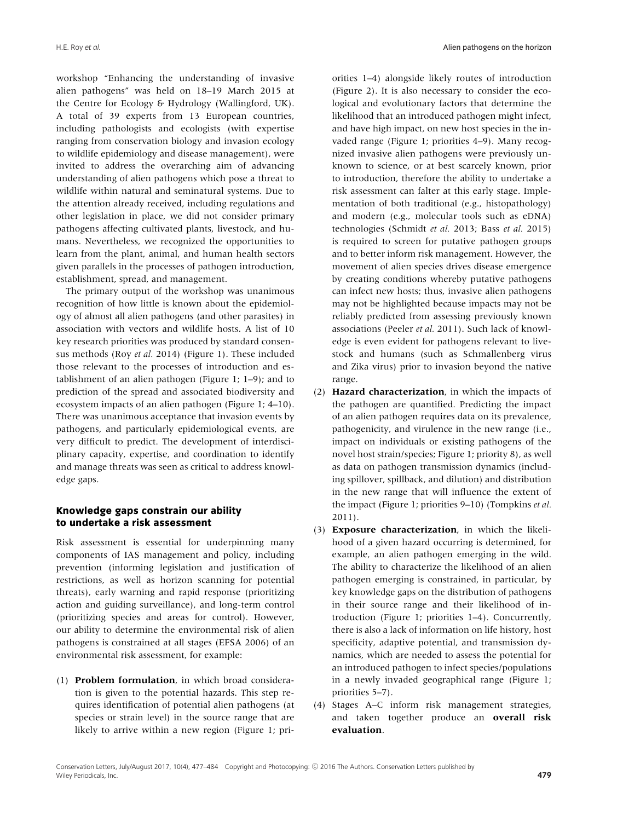workshop "Enhancing the understanding of invasive alien pathogens" was held on 18–19 March 2015 at the Centre for Ecology & Hydrology (Wallingford, UK). A total of 39 experts from 13 European countries, including pathologists and ecologists (with expertise ranging from conservation biology and invasion ecology to wildlife epidemiology and disease management), were invited to address the overarching aim of advancing understanding of alien pathogens which pose a threat to wildlife within natural and seminatural systems. Due to the attention already received, including regulations and other legislation in place, we did not consider primary pathogens affecting cultivated plants, livestock, and humans. Nevertheless, we recognized the opportunities to learn from the plant, animal, and human health sectors given parallels in the processes of pathogen introduction, establishment, spread, and management.

The primary output of the workshop was unanimous recognition of how little is known about the epidemiology of almost all alien pathogens (and other parasites) in association with vectors and wildlife hosts. A list of 10 key research priorities was produced by standard consensus methods (Roy *et al.* 2014) (Figure 1). These included those relevant to the processes of introduction and establishment of an alien pathogen (Figure 1; 1–9); and to prediction of the spread and associated biodiversity and ecosystem impacts of an alien pathogen (Figure 1; 4–10). There was unanimous acceptance that invasion events by pathogens, and particularly epidemiological events, are very difficult to predict. The development of interdisciplinary capacity, expertise, and coordination to identify and manage threats was seen as critical to address knowledge gaps.

## **Knowledge gaps constrain our ability to undertake a risk assessment**

Risk assessment is essential for underpinning many components of IAS management and policy, including prevention (informing legislation and justification of restrictions, as well as horizon scanning for potential threats), early warning and rapid response (prioritizing action and guiding surveillance), and long-term control (prioritizing species and areas for control). However, our ability to determine the environmental risk of alien pathogens is constrained at all stages (EFSA 2006) of an environmental risk assessment, for example:

(1) **Problem formulation**, in which broad consideration is given to the potential hazards. This step requires identification of potential alien pathogens (at species or strain level) in the source range that are likely to arrive within a new region (Figure 1; priorities 1–4) alongside likely routes of introduction (Figure 2). It is also necessary to consider the ecological and evolutionary factors that determine the likelihood that an introduced pathogen might infect, and have high impact, on new host species in the invaded range (Figure 1; priorities 4–9). Many recognized invasive alien pathogens were previously unknown to science, or at best scarcely known, prior to introduction, therefore the ability to undertake a risk assessment can falter at this early stage. Implementation of both traditional (e.g., histopathology) and modern (e.g., molecular tools such as eDNA) technologies (Schmidt *et al.* 2013; Bass *et al.* 2015) is required to screen for putative pathogen groups and to better inform risk management. However, the movement of alien species drives disease emergence by creating conditions whereby putative pathogens can infect new hosts; thus, invasive alien pathogens may not be highlighted because impacts may not be reliably predicted from assessing previously known associations (Peeler *et al.* 2011). Such lack of knowledge is even evident for pathogens relevant to livestock and humans (such as Schmallenberg virus and Zika virus) prior to invasion beyond the native range.

- (2) **Hazard characterization**, in which the impacts of the pathogen are quantified. Predicting the impact of an alien pathogen requires data on its prevalence, pathogenicity, and virulence in the new range (i.e., impact on individuals or existing pathogens of the novel host strain/species; Figure 1; priority 8), as well as data on pathogen transmission dynamics (including spillover, spillback, and dilution) and distribution in the new range that will influence the extent of the impact (Figure 1; priorities 9–10) (Tompkins *et al.* 2011).
- (3) **Exposure characterization**, in which the likelihood of a given hazard occurring is determined, for example, an alien pathogen emerging in the wild. The ability to characterize the likelihood of an alien pathogen emerging is constrained, in particular, by key knowledge gaps on the distribution of pathogens in their source range and their likelihood of introduction (Figure 1; priorities 1–4). Concurrently, there is also a lack of information on life history, host specificity, adaptive potential, and transmission dynamics, which are needed to assess the potential for an introduced pathogen to infect species/populations in a newly invaded geographical range (Figure 1; priorities 5–7).
- (4) Stages A–C inform risk management strategies, and taken together produce an **overall risk evaluation**.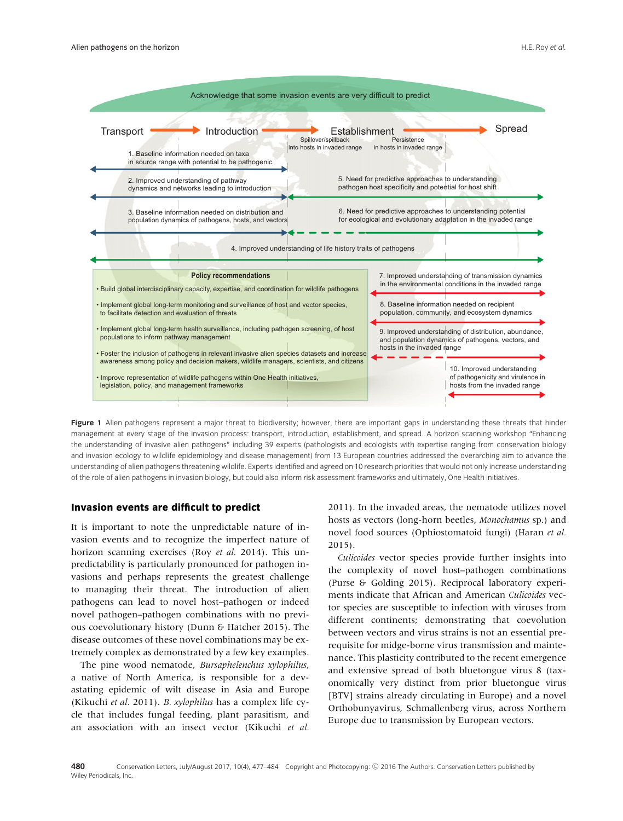

Figure 1 Alien pathogens represent a major threat to biodiversity; however, there are important gaps in understanding these threats that hinder management at every stage of the invasion process: transport, introduction, establishment, and spread. A horizon scanning workshop "Enhancing the understanding of invasive alien pathogens" including 39 experts (pathologists and ecologists with expertise ranging from conservation biology and invasion ecology to wildlife epidemiology and disease management) from 13 European countries addressed the overarching aim to advance the understanding of alien pathogens threatening wildlife. Experts identified and agreed on 10 research priorities that would not only increase understanding of the role of alien pathogens in invasion biology, but could also inform risk assessment frameworks and ultimately, One Health initiatives.

#### **Invasion events are difficult to predict**

It is important to note the unpredictable nature of invasion events and to recognize the imperfect nature of horizon scanning exercises (Roy *et al.* 2014). This unpredictability is particularly pronounced for pathogen invasions and perhaps represents the greatest challenge to managing their threat. The introduction of alien pathogens can lead to novel host–pathogen or indeed novel pathogen–pathogen combinations with no previous coevolutionary history (Dunn & Hatcher 2015). The disease outcomes of these novel combinations may be extremely complex as demonstrated by a few key examples.

The pine wood nematode, *Bursaphelenchus xylophilus*, a native of North America, is responsible for a devastating epidemic of wilt disease in Asia and Europe (Kikuchi *et al.* 2011). *B. xylophilus* has a complex life cycle that includes fungal feeding, plant parasitism, and an association with an insect vector (Kikuchi *et al.* 2011). In the invaded areas, the nematode utilizes novel hosts as vectors (long-horn beetles, *Monochamus* sp.) and novel food sources (Ophiostomatoid fungi) (Haran *et al.* 2015).

*Culicoides* vector species provide further insights into the complexity of novel host–pathogen combinations (Purse & Golding 2015). Reciprocal laboratory experiments indicate that African and American *Culicoides* vector species are susceptible to infection with viruses from different continents; demonstrating that coevolution between vectors and virus strains is not an essential prerequisite for midge-borne virus transmission and maintenance. This plasticity contributed to the recent emergence and extensive spread of both bluetongue virus 8 (taxonomically very distinct from prior bluetongue virus [BTV] strains already circulating in Europe) and a novel Orthobunyavirus, Schmallenberg virus, across Northern Europe due to transmission by European vectors.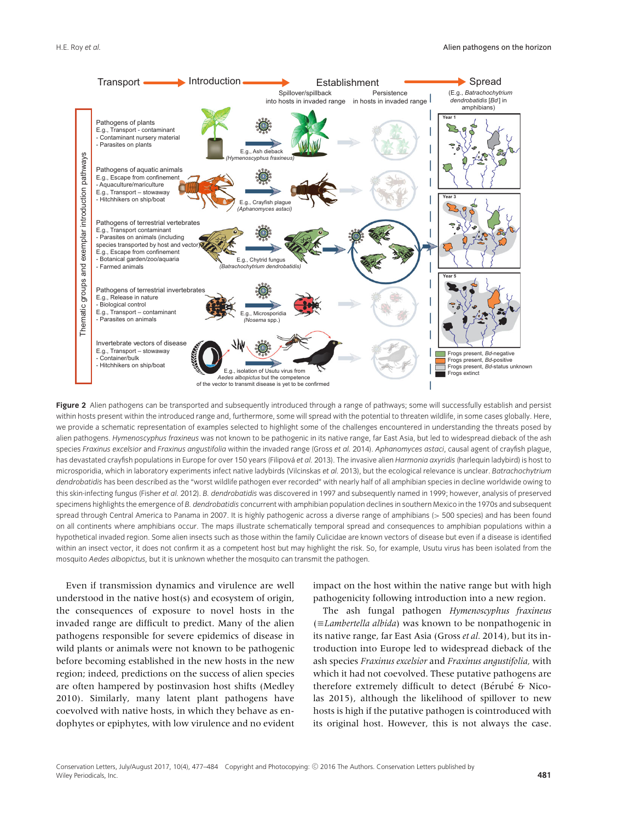

Figure 2 Alien pathogens can be transported and subsequently introduced through a range of pathways; some will successfully establish and persist within hosts present within the introduced range and, furthermore, some will spread with the potential to threaten wildlife, in some cases globally. Here, we provide a schematic representation of examples selected to highlight some of the challenges encountered in understanding the threats posed by alien pathogens. *Hymenoscyphus fraxineus* was not known to be pathogenic in its native range, far East Asia, but led to widespread dieback of the ash species *Fraxinus excelsior* and *Fraxinus angustifolia* within the invaded range (Gross *et al.* 2014). *Aphanomyces astaci*, causal agent of crayfish plague, has devastated crayfish populations in Europe for over 150 years (Filipova´ *et al.* 2013). The invasive alien *Harmonia axyridis* (harlequin ladybird) is host to microsporidia, which in laboratory experiments infect native ladybirds (Vilcinskas *et al.* 2013), but the ecological relevance is unclear. *Batrachochytrium dendrobatidis* has been described as the "worst wildlife pathogen ever recorded" with nearly half of all amphibian species in decline worldwide owing to this skin-infecting fungus (Fisher *et al.* 2012). *B. dendrobatidis* was discovered in 1997 and subsequently named in 1999; however, analysis of preserved specimens highlights the emergence of *B. dendrobatidis* concurrent with amphibian population declines in southern Mexico in the 1970s and subsequent spread through Central America to Panama in 2007. It is highly pathogenic across a diverse range of amphibians (*>* 500 species) and has been found on all continents where amphibians occur. The maps illustrate schematically temporal spread and consequences to amphibian populations within a hypothetical invaded region. Some alien insects such as those within the family Culicidae are known vectors of disease but even if a disease is identified within an insect vector, it does not confirm it as a competent host but may highlight the risk. So, for example, Usutu virus has been isolated from the mosquito *Aedes albopictus,* but it is unknown whether the mosquito can transmit the pathogen.

Even if transmission dynamics and virulence are well understood in the native host(s) and ecosystem of origin, the consequences of exposure to novel hosts in the invaded range are difficult to predict. Many of the alien pathogens responsible for severe epidemics of disease in wild plants or animals were not known to be pathogenic before becoming established in the new hosts in the new region; indeed, predictions on the success of alien species are often hampered by postinvasion host shifts (Medley 2010). Similarly, many latent plant pathogens have coevolved with native hosts, in which they behave as endophytes or epiphytes, with low virulence and no evident

impact on the host within the native range but with high pathogenicity following introduction into a new region.

The ash fungal pathogen *Hymenoscyphus fraxineus* (-*Lambertella albida*) was known to be nonpathogenic in its native range, far East Asia (Gross *et al.* 2014), but its introduction into Europe led to widespread dieback of the ash species *Fraxinus excelsior* and *Fraxinus angustifolia,* with which it had not coevolved. These putative pathogens are therefore extremely difficult to detect (Bérubé & Nicolas 2015), although the likelihood of spillover to new hosts is high if the putative pathogen is cointroduced with its original host. However, this is not always the case.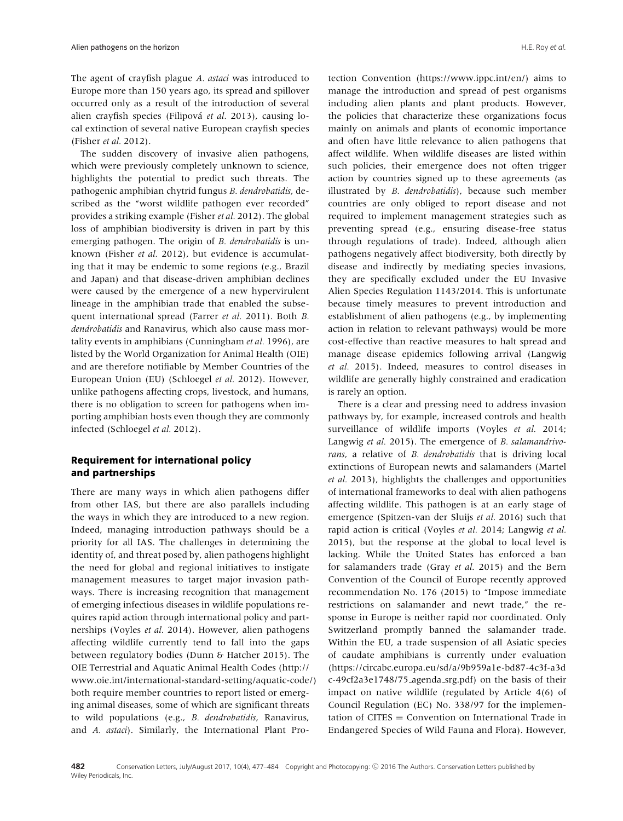The agent of crayfish plague *A. astaci* was introduced to Europe more than 150 years ago, its spread and spillover occurred only as a result of the introduction of several alien crayfish species (Filipová et al. 2013), causing local extinction of several native European crayfish species (Fisher *et al.* 2012).

The sudden discovery of invasive alien pathogens, which were previously completely unknown to science, highlights the potential to predict such threats. The pathogenic amphibian chytrid fungus *B. dendrobatidis*, described as the "worst wildlife pathogen ever recorded" provides a striking example (Fisher *et al.* 2012). The global loss of amphibian biodiversity is driven in part by this emerging pathogen. The origin of *B. dendrobatidis* is unknown (Fisher *et al.* 2012), but evidence is accumulating that it may be endemic to some regions (e.g., Brazil and Japan) and that disease-driven amphibian declines were caused by the emergence of a new hypervirulent lineage in the amphibian trade that enabled the subsequent international spread (Farrer *et al.* 2011). Both *B. dendrobatidis* and Ranavirus, which also cause mass mortality events in amphibians (Cunningham *et al.* 1996), are listed by the World Organization for Animal Health (OIE) and are therefore notifiable by Member Countries of the European Union (EU) (Schloegel *et al.* 2012). However, unlike pathogens affecting crops, livestock, and humans, there is no obligation to screen for pathogens when importing amphibian hosts even though they are commonly infected (Schloegel *et al.* 2012).

## **Requirement for international policy and partnerships**

There are many ways in which alien pathogens differ from other IAS, but there are also parallels including the ways in which they are introduced to a new region. Indeed, managing introduction pathways should be a priority for all IAS. The challenges in determining the identity of, and threat posed by, alien pathogens highlight the need for global and regional initiatives to instigate management measures to target major invasion pathways. There is increasing recognition that management of emerging infectious diseases in wildlife populations requires rapid action through international policy and partnerships (Voyles *et al.* 2014). However, alien pathogens affecting wildlife currently tend to fall into the gaps between regulatory bodies (Dunn & Hatcher 2015). The OIE Terrestrial and Aquatic Animal Health Codes [\(http://](http://www.oie.int/international-standard-setting/aquatic-code/) [www.oie.int/international-standard-setting/aquatic-code/\)](http://www.oie.int/international-standard-setting/aquatic-code/) both require member countries to report listed or emerging animal diseases, some of which are significant threats to wild populations (e.g., *B. dendrobatidis*, Ranavirus, and *A. astaci*). Similarly, the International Plant Protection Convention [\(https://www.ippc.int/en/\)](https://www.ippc.int/en/) aims to manage the introduction and spread of pest organisms including alien plants and plant products. However, the policies that characterize these organizations focus mainly on animals and plants of economic importance and often have little relevance to alien pathogens that affect wildlife. When wildlife diseases are listed within such policies, their emergence does not often trigger action by countries signed up to these agreements (as illustrated by *B. dendrobatidis*), because such member countries are only obliged to report disease and not required to implement management strategies such as preventing spread (e.g., ensuring disease-free status through regulations of trade). Indeed, although alien pathogens negatively affect biodiversity, both directly by disease and indirectly by mediating species invasions, they are specifically excluded under the EU Invasive Alien Species Regulation 1143/2014. This is unfortunate because timely measures to prevent introduction and establishment of alien pathogens (e.g., by implementing action in relation to relevant pathways) would be more cost-effective than reactive measures to halt spread and manage disease epidemics following arrival (Langwig *et al.* 2015). Indeed, measures to control diseases in wildlife are generally highly constrained and eradication is rarely an option.

There is a clear and pressing need to address invasion pathways by, for example, increased controls and health surveillance of wildlife imports (Voyles *et al.* 2014; Langwig *et al.* 2015). The emergence of *B. salamandrivorans*, a relative of *B. dendrobatidis* that is driving local extinctions of European newts and salamanders (Martel *et al.* 2013), highlights the challenges and opportunities of international frameworks to deal with alien pathogens affecting wildlife. This pathogen is at an early stage of emergence (Spitzen-van der Sluijs *et al.* 2016) such that rapid action is critical (Voyles *et al.* 2014; Langwig *et al.* 2015), but the response at the global to local level is lacking. While the United States has enforced a ban for salamanders trade (Gray *et al.* 2015) and the Bern Convention of the Council of Europe recently approved recommendation No. 176 (2015) to "Impose immediate restrictions on salamander and newt trade," the response in Europe is neither rapid nor coordinated. Only Switzerland promptly banned the salamander trade. Within the EU, a trade suspension of all Asiatic species of caudate amphibians is currently under evaluation [\(https://circabc.europa.eu/sd/a/9b959a1e-bd87-4c3f-a3d](https://circabc.europa.eu/sd/a/9b959a1e-bd87-4c3f-a3dc-49cf2a3e1748/75_agenda_srg.pdf) [c-49cf2a3e1748/75](https://circabc.europa.eu/sd/a/9b959a1e-bd87-4c3f-a3dc-49cf2a3e1748/75_agenda_srg.pdf) agenda srg.pdf) on the basis of their impact on native wildlife (regulated by Article 4(6) of Council Regulation (EC) No. 338/97 for the implemen $tation of CITER = Convention on International Trade in$ Endangered Species of Wild Fauna and Flora). However,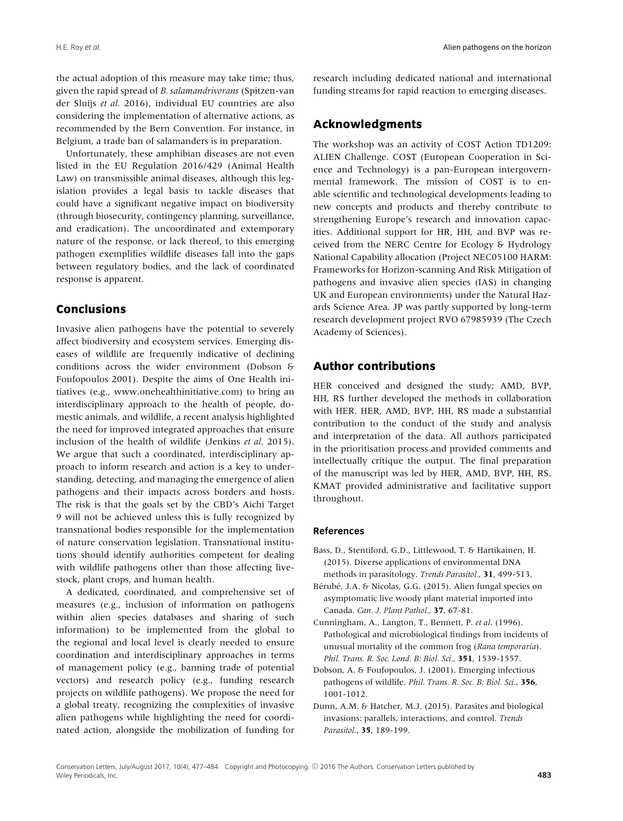the actual adoption of this measure may take time; thus, given the rapid spread of *B. salamandrivorans* (Spitzen-van der Sluijs *et al.* 2016), individual EU countries are also considering the implementation of alternative actions, as recommended by the Bern Convention. For instance, in Belgium, a trade ban of salamanders is in preparation.

Unfortunately, these amphibian diseases are not even listed in the EU Regulation 2016/429 (Animal Health Law) on transmissible animal diseases, although this legislation provides a legal basis to tackle diseases that could have a significant negative impact on biodiversity (through biosecurity, contingency planning, surveillance, and eradication). The uncoordinated and extemporary nature of the response, or lack thereof, to this emerging pathogen exemplifies wildlife diseases fall into the gaps between regulatory bodies, and the lack of coordinated response is apparent.

#### **Conclusions**

Invasive alien pathogens have the potential to severely affect biodiversity and ecosystem services. Emerging diseases of wildlife are frequently indicative of declining conditions across the wider environment (Dobson & Foufopoulos 2001). Despite the aims of One Health initiatives (e.g., [www.onehealthinitiative.com\)](http://www.onehealthinitiative.com) to bring an interdisciplinary approach to the health of people, domestic animals, and wildlife, a recent analysis highlighted the need for improved integrated approaches that ensure inclusion of the health of wildlife (Jenkins *et al.* 2015). We argue that such a coordinated, interdisciplinary approach to inform research and action is a key to understanding, detecting, and managing the emergence of alien pathogens and their impacts across borders and hosts. The risk is that the goals set by the CBD's Aichi Target 9 will not be achieved unless this is fully recognized by transnational bodies responsible for the implementation of nature conservation legislation. Transnational institutions should identify authorities competent for dealing with wildlife pathogens other than those affecting livestock, plant crops, and human health.

A dedicated, coordinated, and comprehensive set of measures (e.g., inclusion of information on pathogens within alien species databases and sharing of such information) to be implemented from the global to the regional and local level is clearly needed to ensure coordination and interdisciplinary approaches in terms of management policy (e.g., banning trade of potential vectors) and research policy (e.g., funding research projects on wildlife pathogens). We propose the need for a global treaty, recognizing the complexities of invasive alien pathogens while highlighting the need for coordinated action, alongside the mobilization of funding for research including dedicated national and international funding streams for rapid reaction to emerging diseases.

## **Acknowledgments**

The workshop was an activity of COST Action TD1209: ALIEN Challenge. COST (European Cooperation in Science and Technology) is a pan-European intergovernmental framework. The mission of COST is to enable scientific and technological developments leading to new concepts and products and thereby contribute to strengthening Europe's research and innovation capacities. Additional support for HR, HH, and BVP was received from the NERC Centre for Ecology & Hydrology National Capability allocation (Project NEC05100 HARM: Frameworks for Horizon-scanning And Risk Mitigation of pathogens and invasive alien species (IAS) in changing UK and European environments) under the Natural Hazards Science Area. JP was partly supported by long-term research development project RVO 67985939 (The Czech Academy of Sciences).

## **Author contributions**

HER conceived and designed the study; AMD, BVP, HH, RS further developed the methods in collaboration with HER. HER, AMD, BVP, HH, RS made a substantial contribution to the conduct of the study and analysis and interpretation of the data. All authors participated in the prioritisation process and provided comments and intellectually critique the output. The final preparation of the manuscript was led by HER, AMD, BVP, HH, RS. KMAT provided administrative and facilitative support throughout.

#### **References**

- Bass, D., Stentiford, G.D., Littlewood, T. & Hartikainen, H. (2015). Diverse applications of environmental DNA methods in parasitology. *Trends Parasitol.*, **31**, 499-513.
- Bérubé, J.A. & Nicolas, G.G. (2015). Alien fungal species on asymptomatic live woody plant material imported into Canada. *Can. J. Plant Pathol.*, **37**, 67-81.
- Cunningham, A., Langton, T., Bennett, P. *et al*. (1996). Pathological and microbiological findings from incidents of unusual mortality of the common frog (*Rana temporaria*). *Phil. Trans. R. Soc. Lond. B: Biol. Sci.*, **351**, 1539-1557.
- Dobson, A. & Foufopoulos, J. (2001). Emerging infectious pathogens of wildlife. *Phil. Trans. R. Soc. B: Biol. Sci.*, **356**, 1001-1012.
- Dunn, A.M. & Hatcher, M.J. (2015). Parasites and biological invasions: parallels, interactions, and control. *Trends Parasitol.*, **35**, 189-199.